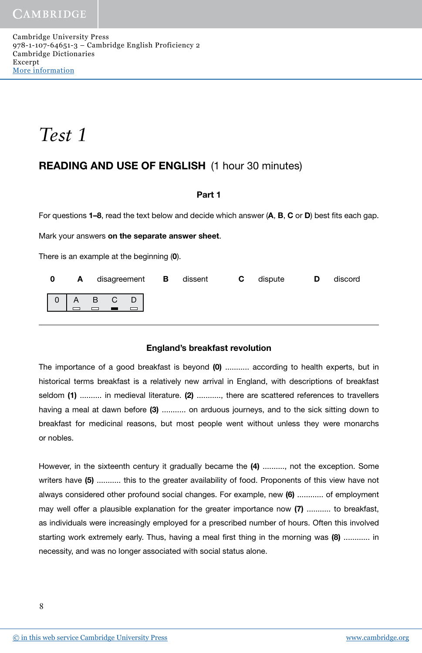Cambridge University Press 978-1-107-64651-3 – Cambridge English Proficiency 2 Cambridge Dictionaries Excerpt More [information](http://www.cambridge.org/9781107646513)

*Test 1*

# READING AND USE OF ENGLISH (1 hour 30 minutes)

# Part 1

For questions  $1-8$ , read the text below and decide which answer  $(A, B, C \text{ or } D)$  best fits each gap.

Mark your answers on the separate answer sheet.

There is an example at the beginning (0).

|  |  |  | <b>0 A</b> disagreement <b>B</b> dissent <b>C</b> dispute |  | <b>D</b> | discord |
|--|--|--|-----------------------------------------------------------|--|----------|---------|
|  |  |  |                                                           |  |          |         |

# England's breakfast revolution

The importance of a good breakfast is beyond (0) ........... according to health experts, but in historical terms breakfast is a relatively new arrival in England, with descriptions of breakfast seldom (1) .......... in medieval literature. (2) ..........., there are scattered references to travellers having a meal at dawn before (3) ........... on arduous journeys, and to the sick sitting down to breakfast for medicinal reasons, but most people went without unless they were monarchs or nobles.

However, in the sixteenth century it gradually became the (4) .........., not the exception. Some writers have (5) ........... this to the greater availability of food. Proponents of this view have not always considered other profound social changes. For example, new (6) ............ of employment may well offer a plausible explanation for the greater importance now (7) ........... to breakfast, as individuals were increasingly employed for a prescribed number of hours. Often this involved starting work extremely early. Thus, having a meal first thing in the morning was (8) ............ in necessity, and was no longer associated with social status alone.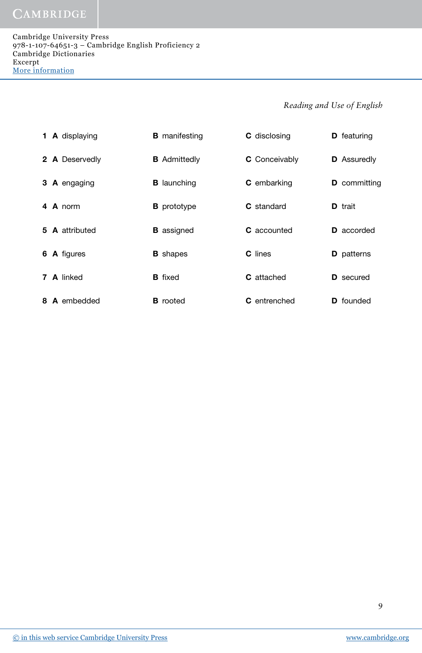|  | <b>1 A</b> displaying | <b>B</b> manifesting | <b>C</b> disclosing  | <b>D</b> featuring  |
|--|-----------------------|----------------------|----------------------|---------------------|
|  | 2 A Deservedly        | <b>B</b> Admittedly  | <b>C</b> Conceivably | <b>D</b> Assuredly  |
|  | 3 A engaging          | <b>B</b> launching   | <b>C</b> embarking   | <b>D</b> committing |
|  | 4 A norm              | <b>B</b> prototype   | <b>C</b> standard    | <b>D</b> trait      |
|  | 5 A attributed        | <b>B</b> assigned    | <b>C</b> accounted   | <b>D</b> accorded   |
|  | 6 A figures           | <b>B</b> shapes      | <b>C</b> lines       | <b>D</b> patterns   |
|  | 7 A linked            | <b>B</b> fixed       | <b>C</b> attached    | <b>D</b> secured    |
|  | 8 A embedded          | <b>B</b> rooted      | <b>C</b> entrenched  | <b>D</b> founded    |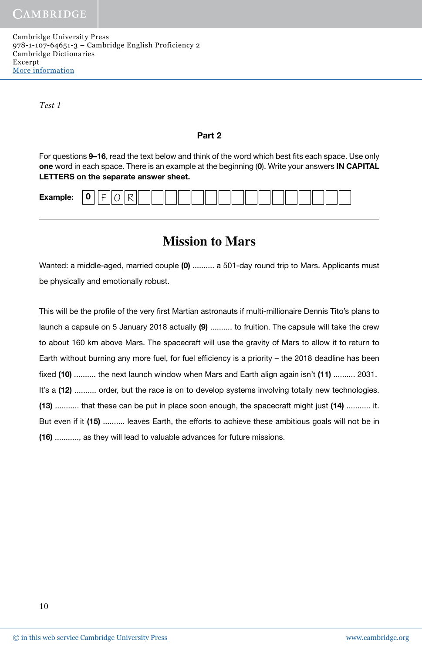Cambridge University Press 978-1-107-64651-3 – Cambridge English Proficiency 2 Cambridge Dictionaries Excerpt More [information](http://www.cambridge.org/9781107646513)

*Test 1*

#### Part 2

For questions 9–16, read the text below and think of the word which best fits each space. Use only one word in each space. There is an example at the beginning (0). Write your answers IN CAPITAL LETTERS on the separate answer sheet.

| <br>╰ |  | Examp<br>ימוחי | $\sim$<br>- |  |  |  |  |  |  |  |  |  |  |  |  |
|-------|--|----------------|-------------|--|--|--|--|--|--|--|--|--|--|--|--|
|-------|--|----------------|-------------|--|--|--|--|--|--|--|--|--|--|--|--|

# **Mission to Mars**

Wanted: a middle-aged, married couple (0) .......... a 501-day round trip to Mars. Applicants must be physically and emotionally robust.

This will be the profile of the very first Martian astronauts if multi-millionaire Dennis Tito's plans to launch a capsule on 5 January 2018 actually (9) .......... to fruition. The capsule will take the crew to about 160 km above Mars. The spacecraft will use the gravity of Mars to allow it to return to Earth without burning any more fuel, for fuel efficiency is a priority - the 2018 deadline has been fixed (10) .......... the next launch window when Mars and Earth align again isn't (11) .......... 2031. It's a (12) .......... order, but the race is on to develop systems involving totally new technologies. (13) ........... that these can be put in place soon enough, the spacecraft might just (14) ........... it. But even if it (15) .......... leaves Earth, the efforts to achieve these ambitious goals will not be in (16) ..........., as they will lead to valuable advances for future missions.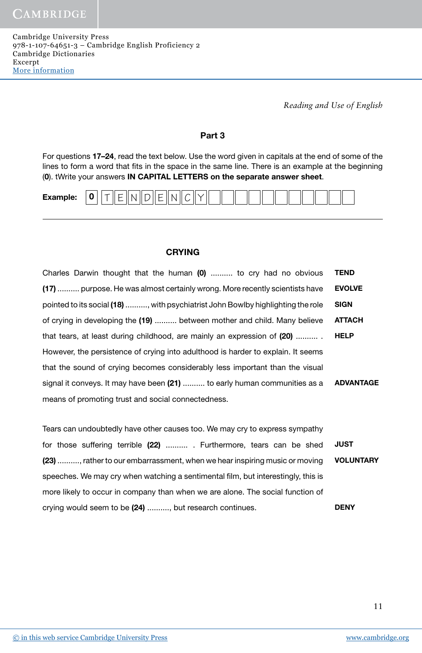Cambridge University Press 978-1-107-64651-3 – Cambridge English Proficiency 2 Cambridge Dictionaries Excerpt More [information](http://www.cambridge.org/9781107646513)

*Reading and Use of English*

# Part 3

For questions 17–24, read the text below. Use the word given in capitals at the end of some of the lines to form a word that fits in the space in the same line. There is an example at the beginning (0). tWrite your answers IN CAPITAL LETTERS on the separate answer sheet.



#### **CRYING**

| Charles Darwin thought that the human (0)  to cry had no obvious                 | <b>TEND</b>      |
|----------------------------------------------------------------------------------|------------------|
| (17)  purpose. He was almost certainly wrong. More recently scientists have      | <b>EVOLVE</b>    |
| pointed to its social (18) , with psychiatrist John Bowlby highlighting the role | <b>SIGN</b>      |
| of crying in developing the (19)  between mother and child. Many believe         | <b>ATTACH</b>    |
| that tears, at least during childhood, are mainly an expression of (20)          | <b>HELP</b>      |
| However, the persistence of crying into adulthood is harder to explain. It seems |                  |
| that the sound of crying becomes considerably less important than the visual     |                  |
| signal it conveys. It may have been (21)  to early human communities as a        | <b>ADVANTAGE</b> |
| means of promoting trust and social connectedness.                               |                  |

**JUST** VOLUNTARY **DENY** Tears can undoubtedly have other causes too. We may cry to express sympathy for those suffering terrible (22) .......... . Furthermore, tears can be shed (23) .........., rather to our embarrassment, when we hear inspiring music or moving speeches. We may cry when watching a sentimental film, but interestingly, this is more likely to occur in company than when we are alone. The social function of crying would seem to be (24) .........., but research continues.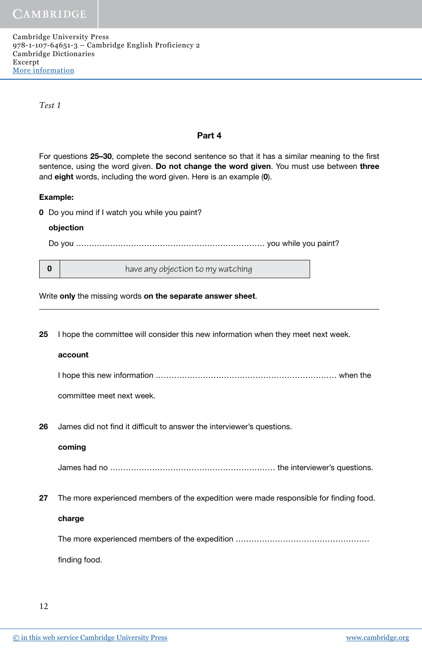*Test 1*

#### Part 4

For questions 25–30, complete the second sentence so that it has a similar meaning to the first sentence, using the word given. Do not change the word given. You must use between three and eight words, including the word given. Here is an example (0).

#### Example:

0 Do you mind if I watch you while you paint?

#### objection

Do you ……………………………………………………………… you while you paint?

**0** have any objection to my watching

Write only the missing words on the separate answer sheet.

25 I hope the committee will consider this new information when they meet next week.

#### account

 I hope this new information …………………………………………………………… when the committee meet next week.

26 James did not find it difficult to answer the interviewer's questions.

#### coming

James had no ……………………………………………………… the interviewer's questions.

27 The more experienced members of the expedition were made responsible for finding food.

#### charge

The more experienced members of the expedition ……………………………………………

finding food.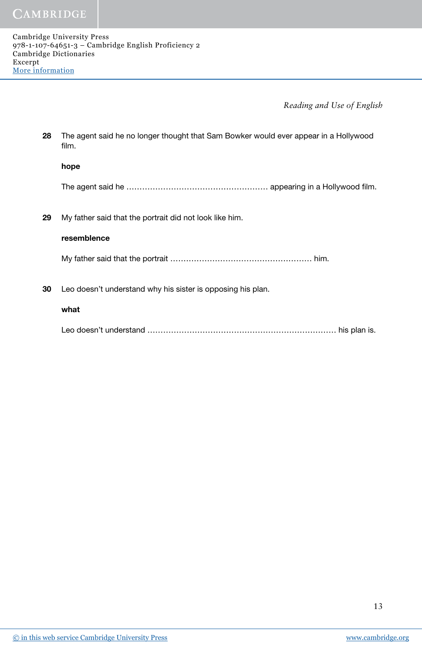| 28 | The agent said he no longer thought that Sam Bowker would ever appear in a Hollywood<br>film. |
|----|-----------------------------------------------------------------------------------------------|
|    | hope                                                                                          |
|    | The agent said he ……………………………………………… appearing in a Hollywood film.                           |
| 29 | My father said that the portrait did not look like him.                                       |
|    | resemblence                                                                                   |
|    |                                                                                               |
| 30 | Leo doesn't understand why his sister is opposing his plan.                                   |
|    | what                                                                                          |
|    |                                                                                               |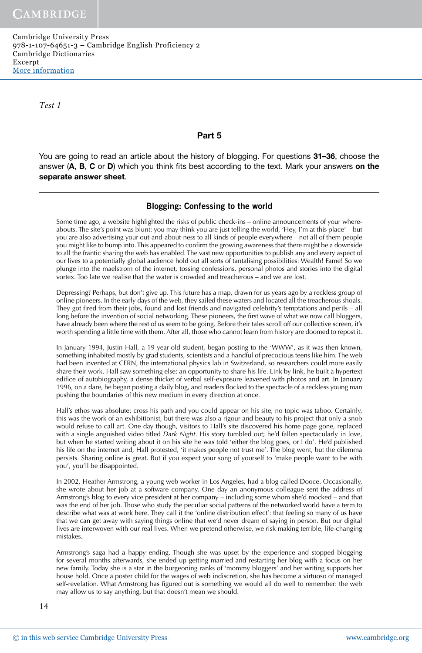*Test 1*

#### Part 5

You are going to read an article about the history of blogging. For questions 31–36, choose the answer  $(A, B, C)$  or D) which you think fits best according to the text. Mark your answers on the separate answer sheet.

# Blogging: Confessing to the world

Some time ago, a website highlighted the risks of public check-ins – online announcements of your whereabouts. The site's point was blunt: you may think you are just telling the world, 'Hey, I'm at this place' – but you are also advertising your out-and-about-ness to all kinds of people everywhere – not all of them people you might like to bump into. This appeared to confirm the growing awareness that there might be a downside to all the frantic sharing the web has enabled. The vast new opportunities to publish any and every aspect of our lives to a potentially global audience hold out all sorts of tantalising possibilities: Wealth! Fame! So we plunge into the maelstrom of the internet, tossing confessions, personal photos and stories into the digital vortex. Too late we realise that the water is crowded and treacherous – and we are lost.

Depressing? Perhaps, but don't give up. This future has a map, drawn for us years ago by a reckless group of online pioneers. In the early days of the web, they sailed these waters and located all the treacherous shoals. They got fired from their jobs, found and lost friends and navigated celebrity's temptations and perils – all long before the invention of social networking. These pioneers, the first wave of what we now call bloggers, have already been where the rest of us seem to be going. Before their tales scroll off our collective screen, it's worth spending a little time with them. After all, those who cannot learn from history are doomed to repost it.

In January 1994, Justin Hall, a 19-year-old student, began posting to the 'WWW', as it was then known, something inhabited mostly by grad students, scientists and a handful of precocious teens like him. The web had been invented at CERN, the international physics lab in Switzerland, so researchers could more easily share their work. Hall saw something else: an opportunity to share his life. Link by link, he built a hypertext edifice of autobiography, a dense thicket of verbal self-exposure leavened with photos and art. In January 1996, on a dare, he began posting a daily blog, and readers flocked to the spectacle of a reckless young man pushing the boundaries of this new medium in every direction at once.

Hall's ethos was absolute: cross his path and you could appear on his site; no topic was taboo. Certainly, this was the work of an exhibitionist, but there was also a rigour and beauty to his project that only a snob would refuse to call art. One day though, visitors to Hall's site discovered his home page gone, replaced with a single anguished video titled *Dark Night*. His story tumbled out; he'd fallen spectacularly in love, but when he started writing about it on his site he was told 'either the blog goes, or I do'. He'd published his life on the internet and, Hall protested, 'it makes people not trust me'. The blog went, but the dilemma persists. Sharing online is great. But if you expect your song of yourself to 'make people want to be with you', you'll be disappointed.

In 2002, Heather Armstrong, a young web worker in Los Angeles, had a blog called Dooce. Occasionally, she wrote about her job at a software company. One day an anonymous colleague sent the address of Armstrong's blog to every vice president at her company – including some whom she'd mocked – and that was the end of her job. Those who study the peculiar social patterns of the networked world have a term to describe what was at work here. They call it the 'online distribution effect': that feeling so many of us have that we can get away with saying things online that we'd never dream of saying in person. But our digital lives are interwoven with our real lives. When we pretend otherwise, we risk making terrible, life-changing mistakes.

Armstrong's saga had a happy ending. Though she was upset by the experience and stopped blogging for several months afterwards, she ended up getting married and restarting her blog with a focus on her new family. Today she is a star in the burgeoning ranks of 'mommy bloggers' and her writing supports her house hold. Once a poster child for the wages of web indiscretion, she has become a virtuoso of managed self-revelation. What Armstrong has figured out is something we would all do well to remember: the web may allow us to say anything, but that doesn't mean we should.

14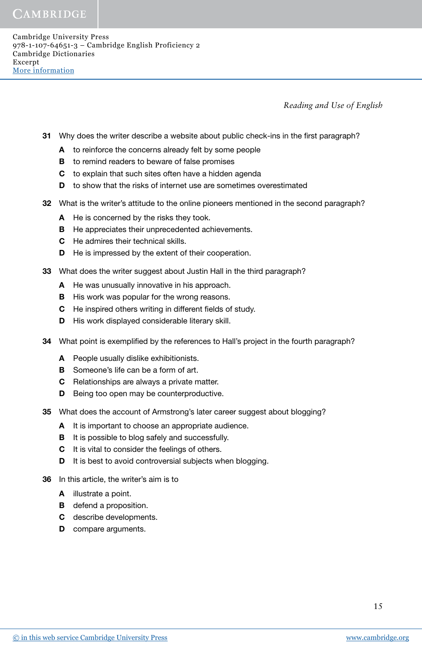- 31 Why does the writer describe a website about public check-ins in the first paragraph?
	- A to reinforce the concerns already felt by some people
	- **B** to remind readers to beware of false promises
	- C to explain that such sites often have a hidden agenda
	- D to show that the risks of internet use are sometimes overestimated
- 32 What is the writer's attitude to the online pioneers mentioned in the second paragraph?
	- A He is concerned by the risks they took.
	- **B** He appreciates their unprecedented achievements.
	- C He admires their technical skills.
	- **D** He is impressed by the extent of their cooperation.
- 33 What does the writer suggest about Justin Hall in the third paragraph?
	- A He was unusually innovative in his approach.
	- **B** His work was popular for the wrong reasons.
	- C He inspired others writing in different fields of study.
	- D His work displayed considerable literary skill.
- 34 What point is exemplified by the references to Hall's project in the fourth paragraph?
	- A People usually dislike exhibitionists.
	- **B** Someone's life can be a form of art.
	- C Relationships are always a private matter.
	- **D** Being too open may be counterproductive.
- 35 What does the account of Armstrong's later career suggest about blogging?
	- A It is important to choose an appropriate audience.
	- **B** It is possible to blog safely and successfully.
	- C It is vital to consider the feelings of others.
	- D It is best to avoid controversial subjects when blogging.
- 36 In this article, the writer's aim is to
	- A illustrate a point.
	- **B** defend a proposition.
	- C describe developments.
	- **D** compare arguments.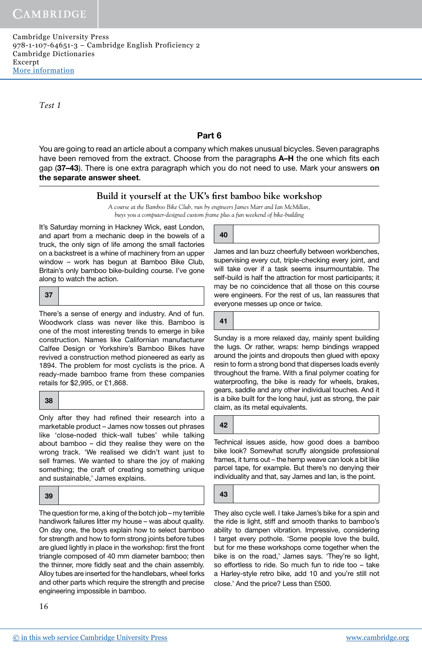*Test 1*

# Part 6

You are going to read an article about a company which makes unusual bicycles. Seven paragraphs have been removed from the extract. Choose from the paragraphs A–H the one which fits each gap (37–43). There is one extra paragraph which you do not need to use. Mark your answers on the separate answer sheet.

# Build it yourself at the UK's first bamboo bike workshop

*A course at the Bamboo Bike Club, run by engineers James Marr and Ian McMillan, buys you a computer-designed custom frame plus a fun weekend of bike-building*

It's Saturday morning in Hackney Wick, east London, and apart from a mechanic deep in the bowels of a truck, the only sign of life among the small factories on a backstreet is a whine of machinery from an upper window – work has begun at Bamboo Bike Club, Britain's only bamboo bike-building course. I've gone along to watch the action.

| - 27 |  |  |
|------|--|--|
|------|--|--|

There's a sense of energy and industry. And of fun. Woodwork class was never like this. Bamboo is one of the most interesting trends to emerge in bike construction. Names like Californian manufacturer Calfee Design or Yorkshire's Bamboo Bikes have revived a construction method pioneered as early as 1894. The problem for most cyclists is the price. A ready-made bamboo frame from these companies retails for \$2,995, or £1,868.

38

Only after they had refined their research into a marketable product – James now tosses out phrases like 'close-noded thick-wall tubes' while talking about bamboo – did they realise they were on the wrong track. 'We realised we didn't want just to sell frames. We wanted to share the joy of making something; the craft of creating something unique and sustainable,' James explains.

39

The question for me, a king of the botch job – my terrible handiwork failures litter my house – was about quality. On day one, the boys explain how to select bamboo for strength and how to form strong joints before tubes are glued lightly in place in the workshop: first the front triangle composed of 40 mm diameter bamboo; then the thinner, more fiddly seat and the chain assembly. Alloy tubes are inserted for the handlebars, wheel forks and other parts which require the strength and precise engineering impossible in bamboo.

16

40

James and Ian buzz cheerfully between workbenches, supervising every cut, triple-checking every joint, and will take over if a task seems insurmountable. The self-build is half the attraction for most participants; it may be no coincidence that all those on this course were engineers. For the rest of us, Ian reassures that everyone messes up once or twice.

41

Sunday is a more relaxed day, mainly spent building the lugs. Or rather, wraps: hemp bindings wrapped around the joints and dropouts then glued with epoxy resin to form a strong bond that disperses loads evenly throughout the frame. With a final polymer coating for waterproofing, the bike is ready for wheels, brakes, gears, saddle and any other individual touches. And it is a bike built for the long haul, just as strong, the pair claim, as its metal equivalents.

42

Technical issues aside, how good does a bamboo bike look? Somewhat scruffy alongside professional frames, it turns out – the hemp weave can look a bit like parcel tape, for example. But there's no denying their individuality and that, say James and Ian, is the point.

43

They also cycle well. I take James's bike for a spin and the ride is light, stiff and smooth thanks to bamboo's ability to dampen vibration. Impressive, considering I target every pothole. 'Some people love the build, but for me these workshops come together when the bike is on the road,' James says. 'They're so light, so effortless to ride. So much fun to ride too – take a Harley-style retro bike, add 10 and you're still not close.' And the price? Less than £500.